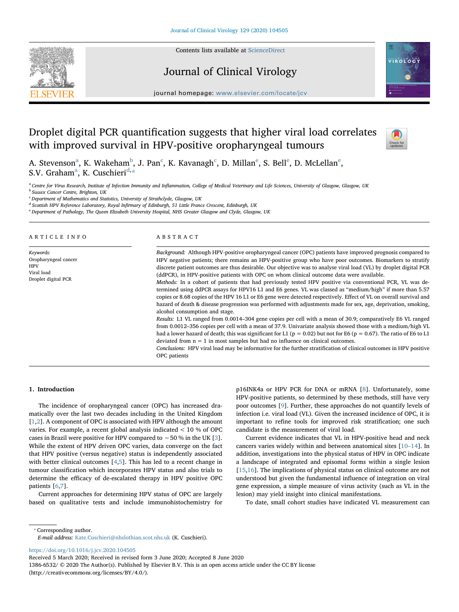Contents lists available at [ScienceDirect](http://www.sciencedirect.com/science/journal/13866532)







journal homepage: [www.elsevier.com/locate/jcv](https://www.elsevier.com/locate/jcv)

# Droplet digital PCR quantification suggests that higher viral load correlates with improved survival in HPV-positive oropharyngeal tumours



A. St[e](#page-0-3)venson $^{\rm a}$  $^{\rm a}$  $^{\rm a}$ , K. Wakeham $^{\rm b}$  $^{\rm b}$  $^{\rm b}$ , J. Pan $^{\rm c}$  $^{\rm c}$  $^{\rm c}$ , K. Kavanagh $^{\rm c}$ , D. Millan $^{\rm e}$ , S. Bell $^{\rm e}$ , D. McLellan $^{\rm e}$ , S.V. Gr[a](#page-0-0)ham<sup>a</sup>, K. Cuschieri<sup>[d,](#page-0-4)</sup>[\\*](#page-0-5)

<span id="page-0-1"></span><span id="page-0-0"></span><sup>a</sup> Centre for Virus Research, Institute of Infection Immunity and Inflammation, College of Medical Veterinary and Life Sciences, University of Glasgow, Glasgow, UK **b** Sussex Cancer Centre, Brighton, UK

<span id="page-0-2"></span><sup>c</sup> Department of Mathematics and Statistics, University of Strathclyde, Glasgow, UK

<span id="page-0-4"></span><sup>d</sup> Scottish HPV Reference Laboratory, Royal Infirmary of Edinburgh, 51 Little France Crescent, Edinburgh, UK

<span id="page-0-3"></span><sup>e</sup> Department of Pathology, The Queen Elizabeth University Hospital, NHS Greater Glasgow and Clyde, Glasgow, UK

#### ARTICLE INFO

Keywords: Oropharyngeal cancer **HPV** Viral load Droplet digital PCR

# ABSTRACT

Background: Although HPV-positive oropharyngeal cancer (OPC) patients have improved prognosis compared to HPV negative patients; there remains an HPV-positive group who have poor outcomes. Biomarkers to stratify discrete patient outcomes are thus desirable. Our objective was to analyse viral load (VL) by droplet digital PCR (ddPCR), in HPV-positive patients with OPC on whom clinical outcome data were available.

Methods: In a cohort of patients that had previously tested HPV positive via conventional PCR, VL was determined using ddPCR assays for HPV16 L1 and E6 genes. VL was classed as "medium/high" if more than 5.57 copies or 8.68 copies of the HPV 16 L1 or E6 gene were detected respectively. Effect of VL on overall survival and hazard of death & disease progression was performed with adjustments made for sex, age, deprivation, smoking, alcohol consumption and stage.

Results: L1 VL ranged from 0.0014–304 gene copies per cell with a mean of 30.9; comparatively E6 VL ranged from 0.0012–356 copies per cell with a mean of 37.9. Univariate analysis showed those with a medium/high VL had a lower hazard of death; this was significant for L1 ( $p = 0.02$ ) but not for E6 ( $p = 0.67$ ). The ratio of E6 to L1 deviated from  $n = 1$  in most samples but had no influence on clinical outcomes.

Conclusions: HPV viral load may be informative for the further stratification of clinical outcomes in HPV positive OPC patients

# 1. Introduction

The incidence of oropharyngeal cancer (OPC) has increased dramatically over the last two decades including in the United Kingdom [[1](#page-7-0),[2](#page-7-1)]. A component of OPC is associated with HPV although the amount varies. For example, a recent global analysis indicated < 10 % of OPC cases in Brazil were positive for HPV compared to ∼50 % in the UK [[3](#page-7-2)]. While the extent of HPV driven OPC varies, data converge on the fact that HPV positive (versus negative) status is independently associated with better clinical outcomes [[4](#page-7-3)[,5\]](#page-7-4). This has led to a recent change in tumour classification which incorporates HPV status and also trials to determine the efficacy of de-escalated therapy in HPV positive OPC patients [[6](#page-7-5)[,7\]](#page-7-6).

Current approaches for determining HPV status of OPC are largely based on qualitative tests and include immunohistochemistry for p16INK4a or HPV PCR for DNA or mRNA [\[8\]](#page-8-0). Unfortunately, some HPV-positive patients, so determined by these methods, still have very poor outcomes [[9](#page-8-1)]. Further, these approaches do not quantify levels of infection i.e. viral load (VL). Given the increased incidence of OPC, it is important to refine tools for improved risk stratification; one such candidate is the measurement of viral load.

Current evidence indicates that VL in HPV-positive head and neck cancers varies widely within and between anatomical sites [\[10](#page-8-2)–14]. In addition, investigations into the physical status of HPV in OPC indicate a landscape of integrated and episomal forms within a single lesion [[15](#page-8-3)[,16](#page-8-4)]. The implications of physical status on clinical outcome are not understood but given the fundamental influence of integration on viral gene expression, a simple measure of virus activity (such as VL in the lesion) may yield insight into clinical manifestations.

To date, small cohort studies have indicated VL measurement can

<span id="page-0-5"></span>⁎ Corresponding author.

E-mail address: [Kate.Cuschieri@nhslothian.scot.nhs.uk](mailto:Kate.Cuschieri@nhslothian.scot.nhs.uk) (K. Cuschieri).

<https://doi.org/10.1016/j.jcv.2020.104505>

Received 5 March 2020; Received in revised form 3 June 2020; Accepted 8 June 2020

1386-6532/ © 2020 The Author(s). Published by Elsevier B.V. This is an open access article under the CC BY license (http://creativecommons.org/licenses/BY/4.0/).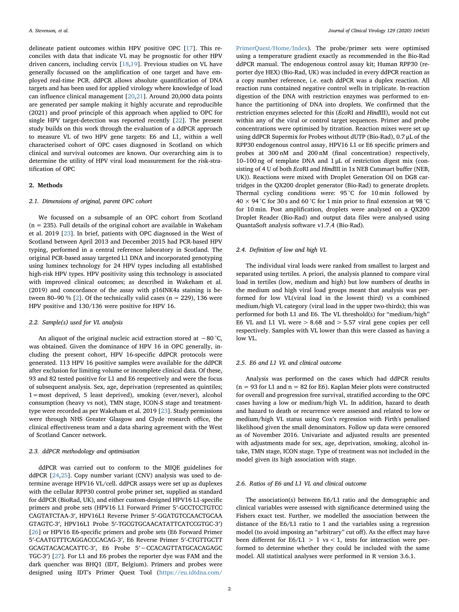delineate patient outcomes within HPV positive OPC [[17](#page-8-5)]. This reconciles with data that indicate VL may be prognostic for other HPV driven cancers, including cervix [\[18](#page-8-6),[19\]](#page-8-7). Previous studies on VL have generally focussed on the amplification of one target and have employed real-time PCR. ddPCR allows absolute quantification of DNA targets and has been used for applied virology where knowledge of load can influence clinical management [[20,](#page-8-8)[21](#page-8-9)]. Around 20,000 data points are generated per sample making it highly accurate and reproducible (2021) and proof principle of this approach when applied to OPC for single HPV target-detection was reported recently [[22\]](#page-8-10). The present study builds on this work through the evaluation of a ddPCR approach to measure VL of two HPV gene targets: E6 and L1, within a well characterised cohort of OPC cases diagnosed in Scotland on which clinical and survival outcomes are known. Our overarching aim is to determine the utility of HPV viral load measurement for the risk-stratification of OPC

# 2. Methods

#### 2.1. Dimensions of original, parent OPC cohort

We focussed on a subsample of an OPC cohort from Scotland  $(n = 235)$ . Full details of the original cohort are available in Wakeham et al. 2019 [[23\]](#page-8-11). In brief, patients with OPC diagnosed in the West of Scotland between April 2013 and December 2015 had PCR-based HPV typing, performed in a central reference laboratory in Scotland. The original PCR-based assay targeted L1 DNA and incorporated genotyping using luminex technology for 24 HPV types including all established high-risk HPV types. HPV positivity using this technology is associated with improved clinical outcomes; as described in Wakeham et al. (2019) and concordance of the assay with p16INK4a staining is be-tween 80–90 % [\[2\]](#page-7-1). Of the technically valid cases ( $n = 229$ ), 136 were HPV positive and 130/136 were positive for HPV 16.

# 2.2. Sample(s) used for VL analysis

An aliquot of the original nucleic acid extraction stored at −80 °C, was obtained. Given the dominance of HPV 16 in OPC generally, including the present cohort, HPV 16-specific ddPCR protocols were generated. 113 HPV 16 positive samples were available for the ddPCR after exclusion for limiting volume or incomplete clinical data. Of these, 93 and 82 tested positive for L1 and E6 respectively and were the focus of subsequent analysis. Sex, age, deprivation (represented as quintiles; 1=most deprived, 5 least deprived), smoking (ever/never), alcohol consumption (heavy vs not), TMN stage, ICON-S stage and treatmenttype were recorded as per Wakeham et al. 2019 [[23\]](#page-8-11). Study permissions were through NHS Greater Glasgow and Clyde research office, the clinical effectiveness team and a data sharing agreement with the West of Scotland Cancer network.

# 2.3. ddPCR methodology and optimisation

ddPCR was carried out to conform to the MIQE guidelines for ddPCR [[24,](#page-8-12)[25\]](#page-8-13). Copy number variant (CNV) analysis was used to determine average HPV16 VL/cell. ddPCR assays were set up as duplexes with the cellular RPP30 control probe primer set, supplied as standard for ddPCR (BioRad, UK), and either custom-designed HPV16 L1-specific primers and probe sets (HPV16 L1 Forward Primer 5′-GCCTCCTGTCC CAGTATCTAA-3′, HPV16L1 Reverse Primer 5′-GGATGTCCAACTGCAA GTAGTC-3′, HPV16L1 Probe 5′-TGCGTGCAACATATTCATCCGTGC-3′) [[26\]](#page-8-14) or HPV16 E6-specific primers and probe sets (E6 Forward Primer 5′-CAATGTTTCAGGACCCACAG-3′, E6 Reverse Primer 5′-CTGTTGCTT GCAGTACACACATTC-3′, E6 Probe 5′−CCACAGTTATGCACAGAGC TGC-3′) [[27\]](#page-8-15). For L1 and E6 probes the reporter dye was FAM and the dark quencher was BHQ1 (IDT, Belgium). Primers and probes were designed using IDT's Primer Quest Tool ([https://eu.idtdna.com/](https://eu.idtdna.com/PrimerQuest/Home/Index)

[PrimerQuest/Home/Index](https://eu.idtdna.com/PrimerQuest/Home/Index)). The probe/primer sets were optimised using a temperature gradient exactly as recommended in the Bio-Rad ddPCR manual. The endogenous control assay kit; Human RPP30 (reporter dye HEX) (Bio-Rad, UK) was included in every ddPCR reaction as a copy number reference, i.e. each ddPCR was a duplex reaction. All reaction runs contained negative control wells in triplicate. In-reaction digestion of the DNA with restriction enzymes was performed to enhance the partitioning of DNA into droplets. We confirmed that the restriction enzymes selected for this (EcoRI and HindIII), would not cut within any of the viral or control target sequences. Primer and probe concentrations were optimised by titration. Reaction mixes were set up using ddPCR Supermix for Probes without dUTP (Bio-Rad), 0.7 μL of the RPP30 endogenous control assay, HPV16 L1 or E6 specific primers and probes at 300 nM and 200 nM (final concentration) respectively, 10–100 ng of template DNA and 1 μL of restriction digest mix (consisting of 4 U of both EcoRI and HindIII in 1x NEB Cutsmart buffer (NEB, UK)). Reactions were mixed with Droplet Generation Oil on DG8 cartridges in the QX200 droplet generator (Bio-Rad) to generate droplets. Thermal cycling conditions were: 95 °C for 10 min followed by 40  $\times$  94 °C for 30 s and 60 °C for 1 min prior to final extension at 98 °C for 10 min. Post amplification, droplets were analysed on a QX200 Droplet Reader (Bio-Rad) and output data files were analysed using QuantaSoft analysis software v1.7.4 (Bio-Rad).

#### 2.4. Definition of low and high VL

The individual viral loads were ranked from smallest to largest and separated using tertiles. A priori, the analysis planned to compare viral load in tertiles (low, medium and high) but low numbers of deaths in the medium and high viral load groups meant that analysis was performed for low VL(viral load in the lowest third) vs a combined medium/high VL category (viral load in the upper two-thirds); this was performed for both L1 and E6. The VL threshold(s) for "medium/high" E6 VL and L1 VL were > 8.68 and > 5.57 viral gene copies per cell respectively. Samples with VL lower than this were classed as having a low VL.

#### 2.5. E6 and L1 VL and clinical outcome

Analysis was performed on the cases which had ddPCR results  $(n = 93$  for L1 and  $n = 82$  for E6). Kaplan Meier plots were constructed for overall and progression free survival, stratified according to the OPC cases having a low or medium/high VL. In addition, hazard to death and hazard to death or recurrence were assessed and related to low or medium/high VL status using Cox's regression with Firth's penalised likelihood given the small denominators. Follow up data were censored as of November 2016. Univariate and adjusted results are presented with adjustments made for sex, age, deprivation, smoking, alcohol intake, TMN stage, ICON stage. Type of treatment was not included in the model given its high association with stage.

## 2.6. Ratios of E6 and L1 VL and clinical outcome

The association(s) between E6/L1 ratio and the demographic and clinical variables were assessed with significance determined using the Fishers exact test. Further, we modelled the association between the distance of the E6/L1 ratio to 1 and the variables using a regression model (to avoid imposing an "arbitrary" cut off). As the effect may have been different for  $E6/L1 > 1$  vs < 1, tests for interaction were performed to determine whether they could be included with the same model. All statistical analyses were performed in R version 3.6.1.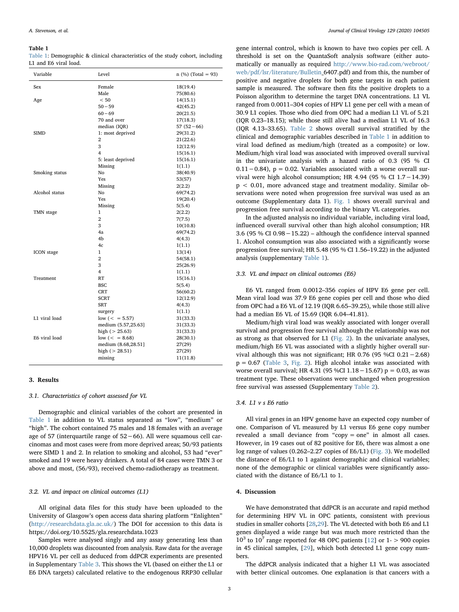#### <span id="page-2-0"></span>Table 1

[Table 1:](#page-2-0) Demographic & clinical characteristics of the study cohort, including L1 and E6 viral load.

| Variable       | Level               | $n$ (%) (Total = 93) |
|----------------|---------------------|----------------------|
| Sex            | Female              | 18(19.4)             |
|                | Male                | 75(80.6)             |
| Age            | < 50                | 14(15.1)             |
|                | $50 - 59$           | 42(45.2)             |
|                | $60 - 69$           | 20(21.5)             |
|                | 70 and over         | 17(18.3)             |
|                | median (IQR)        | $57(52-66)$          |
| <b>SIMD</b>    | 1: most deprived    | 29(31.2)             |
|                | $\overline{2}$      | 21(22.6)             |
|                | 3                   | 12(12.9)             |
|                | 4                   | 15(16.1)             |
|                | 5: least deprived   | 15(16.1)             |
|                | Missing             | 1(1.1)               |
| Smoking status | No                  | 38(40.9)             |
|                | <b>Yes</b>          | 53(57)               |
|                | Missing             | 2(2.2)               |
| Alcohol status | No                  | 69(74.2)             |
|                | Yes                 | 19(20.4)             |
|                | Missing             | 5(5.4)               |
| TMN stage      | 1                   | 2(2.2)               |
|                | $\overline{2}$      | 7(7.5)               |
|                | 3                   | 10(10.8)             |
|                | 4a                  | 69(74.2)             |
|                | 4b                  | 4(4.3)               |
|                | 4c                  | 1(1.1)               |
| ICON stage     | 1                   | 13(14)               |
|                | $\overline{2}$      | 54(58.1)             |
|                | 3                   | 25(26.9)             |
|                | 4                   | 1(1.1)               |
| Treatment      | RT                  | 15(16.1)             |
|                | <b>BSC</b>          | 5(5.4)               |
|                | <b>CRT</b>          | 56(60.2)             |
|                | <b>SCRT</b>         | 12(12.9)             |
|                | <b>SRT</b>          | 4(4.3)               |
|                | surgery             | 1(1.1)               |
| L1 viral load  | $low (= 5.57)$      | 31(33.3)             |
|                | medium (5.57,25.63] | 31(33.3)             |
|                | high $(> 25.63)$    | 31(33.3)             |
| E6 viral load  | low $(= 8.68)$      | 28(30.1)             |
|                | medium (8.68,28.51] | 27(29)               |
|                | high $(> 28.51)$    | 27(29)               |
|                | missing             | 11(11.8)             |
|                |                     |                      |

#### 3. Results

3.1. Characteristics of cohort assessed for VL

Demographic and clinical variables of the cohort are presented in [Table 1](#page-2-0) in addition to VL status separated as "low", "medium" or "high". The cohort contained 75 males and 18 females with an average age of 57 (interquartile range of 52−66). All were squamous cell carcinomas and most cases were from more deprived areas; 50/93 patients were SIMD 1 and 2. In relation to smoking and alcohol, 53 had "ever" smoked and 19 were heavy drinkers. A total of 84 cases were TMN 3 or above and most, (56/93), received chemo-radiotherapy as treatment.

## 3.2. VL and impact on clinical outcomes (L1)

All original data files for this study have been uploaded to the University of Glasgow's open access data sharing platform "Enlighten" ([http://researchdata.gla.ac.uk/\)](http://researchdata.gla.ac.uk/) The DOI for accession to this data is https://doi.org/10.5525/gla.researchdata.1023

Samples were analysed singly and any assay generating less than 10,000 droplets was discounted from analysis. Raw data for the average HPV16 VL per cell as deduced from ddPCR experiments are presented in Supplementary [Table 3](#page-4-0). This shows the VL (based on either the L1 or E6 DNA targets) calculated relative to the endogenous RRP30 cellular

gene internal control, which is known to have two copies per cell. A threshold is set on the QuantaSoft analysis software (either automatically or manually as required [http://www.bio-rad.com/webroot/](http://www.bio-rad.com/webroot/web/pdf/lsr/literature/Bulletin) [web/pdf/lsr/literature/Bulletin](http://www.bio-rad.com/webroot/web/pdf/lsr/literature/Bulletin)\_6407.pdf) and from this, the number of positive and negative droplets for both gene targets in each patient sample is measured. The software then fits the positive droplets to a Poisson algorithm to determine the target DNA concentrations. L1 VL ranged from 0.0011–304 copies of HPV L1 gene per cell with a mean of 30.9 L1 copies. Those who died from OPC had a median L1 VL of 5.21 (IQR 0.23–18.15); while those still alive had a median L1 VL of 16.3 (IQR 4.13–33.65). [Table 2](#page-3-0) shows overall survival stratified by the clinical and demographic variables described in [Table 1](#page-2-0) in addition to viral load defined as medium/high (treated as a composite) or low. Medium/high viral load was associated with improved overall survival in the univariate analysis with a hazard ratio of 0.3 (95 % CI 0.11−0.84), p = 0.02. Variables associated with a worse overall survival were high alcohol consumption; HR 4.94 (95 % CI 1.7−14.39) p < 0.01, more advanced stage and treatment modality. Similar observations were noted when progression free survival was used as an outcome (Supplementary data 1). [Fig. 1](#page-5-0) shows overall survival and progression free survival according to the binary VL categories.

In the adjusted analysis no individual variable, including viral load, influenced overall survival other than high alcohol consumption; HR 3.6 (95 % CI 0.98−15.22) – although the confidence interval spanned 1. Alcohol consumption was also associated with a significantly worse progression free survival; HR 5.48 (95 % CI 1.56–19.22) in the adjusted analysis (supplementary [Table 1\)](#page-2-0).

## 3.3. VL and impact on clinical outcomes (E6)

E6 VL ranged from 0.0012–356 copies of HPV E6 gene per cell. Mean viral load was 37.9 E6 gene copies per cell and those who died from OPC had a E6 VL of 12.19 (IQR 6.65–39.25), while those still alive had a median E6 VL of 15.69 (IQR 6.04–41.81).

Medium/high viral load was weakly associated with longer overall survival and progression free survival although the relationship was not as strong as that observed for L1 ([Fig. 2\)](#page-6-0). In the univariate analyses, medium/high E6 VL was associated with a slightly higher overall survival although this was not significant; HR 0.76 (95 %CI 0.21−2.68)  $p = 0.67$  ([Table 3](#page-4-0), [Fig. 2\)](#page-6-0). High alcohol intake was associated with worse overall survival; HR 4.31 (95 %CI 1.18−15.67) p = 0.03, as was treatment type. These observations were unchanged when progression free survival was assessed (Supplementary [Table 2\)](#page-3-0).

## 3.4. L1 v s E6 ratio

All viral genes in an HPV genome have an expected copy number of one. Comparison of VL measured by L1 versus E6 gene copy number revealed a small deviance from "copy = one" in almost all cases. However, in 19 cases out of 82 positive for E6, there was almost a one log range of values (0.262–2.27 copies of E6/L1) [\(Fig. 3\)](#page-7-7). We modelled the distance of E6/L1 to 1 against demographic and clinical variables; none of the demographic or clinical variables were significantly associated with the distance of E6/L1 to 1.

# 4. Discussion

We have demonstrated that ddPCR is an accurate and rapid method for determining HPV VL in OPC patients, consistent with previous studies in smaller cohorts [[28,](#page-8-16)[29](#page-8-17)]. The VL detected with both E6 and L1 genes displayed a wide range but was much more restricted than the  $10^3$  to  $10^7$  range reported for 48 OPC patients [[12\]](#page-8-18) or 1- > 900 copies in 45 clinical samples, [[29\]](#page-8-17), which both detected L1 gene copy numbers.

The ddPCR analysis indicated that a higher L1 VL was associated with better clinical outcomes. One explanation is that cancers with a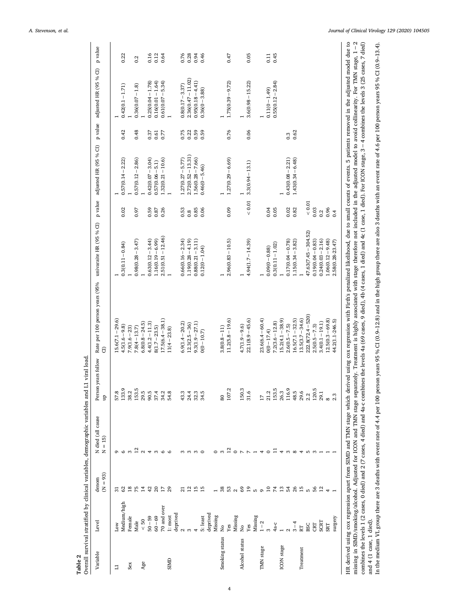<span id="page-3-0"></span>

|                                 |             | $(N = 93)$      | N died (all cause<br>$N = 15$ ) | years follow<br>Person<br>$\frac{p}{2}$ | Rate per 100 person years (95% univaraite HR (95% CI)<br>$\widehat{c}$ |                      |            | p value adjusted HR (95 % CI) |      | p value adjusted HR (95 % CI) | p value |
|---------------------------------|-------------|-----------------|---------------------------------|-----------------------------------------|------------------------------------------------------------------------|----------------------|------------|-------------------------------|------|-------------------------------|---------|
|                                 |             |                 |                                 |                                         |                                                                        |                      |            |                               |      |                               |         |
| Low<br>∃                        |             |                 |                                 | 57.8                                    | $15.6(7.1 - 29.6)$                                                     |                      |            |                               |      |                               |         |
|                                 | Medium/high |                 | $\circ$                         | 133.9                                   | $4.5(1.6 - 9.8)$                                                       | $0.3(0.11 - 0.84)$   | 0.02       | $0.57(0.14 - 2.22)$           | 0.42 | $0.42(0.1 - 1.71)$            | 0.22    |
| Sex                             | Female      |                 | $\infty$                        | 38.2                                    | $7.9(1.6 - 23)$                                                        |                      |            |                               |      |                               |         |
|                                 | Male        | 32257           |                                 | 153.5                                   | $7.8(4 - 13.7)$                                                        | $0.98(0.28 - 3.47)$  | 0.97       | $0.57(0.12 - 2.86)$           | 0.48 | $0.36(0.07 - 1.8)$            | 0.2     |
| Age                             | $<50$       |                 | $\frac{2}{3}$                   | 29.5                                    | $6.8(0.8 - 24.5)$                                                      |                      |            |                               |      |                               |         |
|                                 | $50 - 59$   | $\ddot{ }$      | $\overline{4}$                  | 90.5                                    | $4.4(1.2 - 11.3)$                                                      | $0.63(0.12 - 3.44)$  | 0.59       | $0.42(0.07 - 3.04)$           | 0.37 | $0.25(0.04 - 1.78)$           | 0.16    |
|                                 | $60 - 69$   |                 | 3                               | 37.4                                    | $8(1.7 - 23.5)$                                                        | $1.16(0.19 - 6.99)$  | $0.87\,$   | $0.57(0.06 - 5.1)$            | 0.61 | $0.16(0.01 - 1.64)$           | 0.12    |
|                                 | 70 and over | 252             | $\circ$                         | 34.2                                    | $17.5(6.4 - 38.1)$                                                     | $2.51(0.51 - 12.46)$ | 0.26       | $1.32(0.21 - 10.6)$           | 0.77 | $0.61(0.07 - 5.34)$           | 0.64    |
| SIMD                            | 1: most     |                 | $\circ$                         | 54.8                                    | $11(4 - 23.8)$                                                         |                      |            |                               |      |                               |         |
|                                 | deprived    |                 |                                 |                                         |                                                                        |                      |            |                               |      |                               |         |
| $\mathbf{\Omega}$               |             | ឆ               | S                               | 43.3                                    | $6.9(1.4 - 20.2)$                                                      | $0.66(0.16 - 2.34)$  | 0.53       | $1.27(0.27 - 5.77)$           | 0.75 | $0.8(0.17 - 3.37)$            | 0.76    |
| S                               |             | $\overline{12}$ | $\infty$                        | 24.4                                    | $12.3(2.5 - 36)$                                                       | $1.19(0.28 - 4.19)$  | 0.8        | $2.72(0.52 - 13.31)$          | 0.22 | $2.36(0.47 - 11.02)$          | 0.28    |
|                                 |             | 15              | m <sub>o</sub>                  | 32.3                                    | $9.3(1.9 - 27.1)$                                                      | $0.88(0.21 - 3.11)$  | 0.85       | $1.56(0.28 - 7.66)$           | 0.59 | $0.95(0.18 - 4.41)$           | 0.94    |
|                                 | 5: least    | 15              |                                 | 34.5                                    | $0(0 - 10.7)$                                                          | $0.12(0 - 1.04)$     | 0.06       | $0.46(0 - 5.46)$              | 0.59 | $0.36(0 - 3.88)$              | 0.46    |
|                                 | deprived    |                 |                                 |                                         |                                                                        |                      |            |                               |      |                               |         |
|                                 | Missing     |                 |                                 |                                         |                                                                        |                      |            |                               |      |                               |         |
| $\frac{1}{2}$<br>Smoking status |             | 38              | 3                               | 80                                      | $3.8(0.8 - 11)$                                                        |                      |            |                               |      |                               |         |
| Yes                             |             |                 | $^{12}$                         | 107.2                                   | $11.2(5.8 - 19.6)$                                                     | $2.96(0.83 - 10.5)$  | 0.09       | $1.27(0.29 - 6.69)$           | 0.76 | $1.75(0.39 - 9.72)$           | 0.47    |
|                                 | Missing     |                 |                                 |                                         |                                                                        |                      |            |                               |      |                               |         |
| $_{\rm N_o}$<br>Alcohol status  |             |                 | $\circ$ $\sim$                  | 150.3                                   | $4.7(1.9 - 9.6)$                                                       |                      |            |                               |      |                               |         |
| Yes                             |             | 3.8200          | $\sim$ $-$                      | 31.6                                    | $22.1(8.9 - 45.6)$                                                     | $4.94(1.7 - 14.39)$  | $< 0.01$   | $3.3(0.94 - 13.1)$            | 0.06 | $3.6(0.98 - 15.22)$           | 0.05    |
|                                 | Missing     |                 |                                 |                                         |                                                                        |                      |            |                               |      |                               |         |
| <b>TMN</b> stage                | $1 - 2$     |                 | $\overline{4}$                  | 17                                      | $23.6(6.4 - 60.4)$                                                     |                      |            |                               |      |                               |         |
|                                 |             |                 | $\circ$                         | 21.2                                    | $0(0 - 17.4)$                                                          | $0.09(0 - 0.88)$     | 0.04       |                               |      | $0.11(0 - 1.49)$              | 0.11    |
| 4a-c                            |             |                 |                                 | 153.5                                   | $7.2(3.6 - 12.8)$                                                      | $0.3(0.11 - 1.02)$   | 0.05       |                               |      | $0.55(0.12 - 2.84)$           | 0.45    |
| ICON stage                      |             | 27238           |                                 | 26.3                                    | $15.2(4.1 - 38.9)$                                                     |                      |            |                               |      |                               |         |
|                                 |             |                 | $\infty$                        | 116.9                                   | $2.6(0.5 - 7.5)$                                                       | $0.17(0.04 - 0.78)$  | 0.02       | $0.43(0.08 - 2.21)$           | 0.3  |                               |         |
| $3 - 4$                         |             |                 | $\infty$                        | 48.5                                    | $16.5(7.1 - 32.5)$                                                     | $1.15(0.34 - 3.82)$  | 0.82       | $1.43(0.34 - 6.48)$           | 0.62 |                               |         |
| RT<br>Treatment                 |             | 15              |                                 | 29.6                                    | $13.5(3.7 - 34.6)$                                                     |                      |            |                               |      |                               |         |
| BSC                             |             |                 | LO                              | 2.2                                     | $222.8(72.4 - 520)$                                                    | 47.63(7.45 - 304.52) | ${}< 0.01$ |                               |      |                               |         |
| CRT                             |             | <sub>თ</sub> წ  |                                 | 120.5                                   | $2.5(0.5 - 7.3)$                                                       | $0.19(0.04 - 0.83)$  | 0.03       |                               |      |                               |         |
|                                 | SCRT        | $\mathbf{z}$    |                                 | 29.1                                    | $3.4(0.1 - 19.1)$                                                      | $0.24(0.03 - 2.16)$  | 0.2        |                               |      |                               |         |
| <b>SRT</b>                      |             |                 |                                 |                                         | $12.5(0.3 - 69.8)$                                                     | $1.06(0.12 - 9.48)$  | 0.96       |                               |      |                               |         |
|                                 | surgery     |                 |                                 |                                         | 44.2(1.1-246.5)                                                        | 2.58(0.28-23.47)     | 0.4        |                               |      |                               |         |

Table 2  $\hbox{Overall survival stratified by clinical variables, demographic variables and L1 viral load.}$ Overall survival stratified by clinical variables, demographic variables and L1 viral load.

combines the levels 1 (2 cases, 0 died) and 2 (7 cases, 4 died) and 4a c ombines the levels 4a (69 cases, 9 died), 4b (4 cases, 1 died) and 4c (1 case, 1 died). For ICON stage, 3-4 combines the levels 3 (25 cases, 7 died) and 4 (1 case, 1 died).<br>In the medium VL group there are 3 deaths with event rate of 4.4 per 100 person years 95 % CI (0.9–12.8) and in the high group there are also 3 deaths with an event rate of 4.6 per 100 person years combines the levels 1 (2 cases, 0 died) and 2 (7 cases, 4 died) and 4a-c combines the levels 4a (69 cases, 9 died), 4b (4 cases, 1 died) and 4c (1 case, 1 died). For ICON stage, 3−4 combines the levels 3 (25 cases, 7 died) In the medium VL group there are 3 deaths with event rate of 4.4 per 100 person years 95 % CI (0.9–12.8) and in the high group there are also 3 deaths with an event rate of 4.6 per 100 person years 95 % CI (0.9–13.4). and 4 (1 case, 1 died).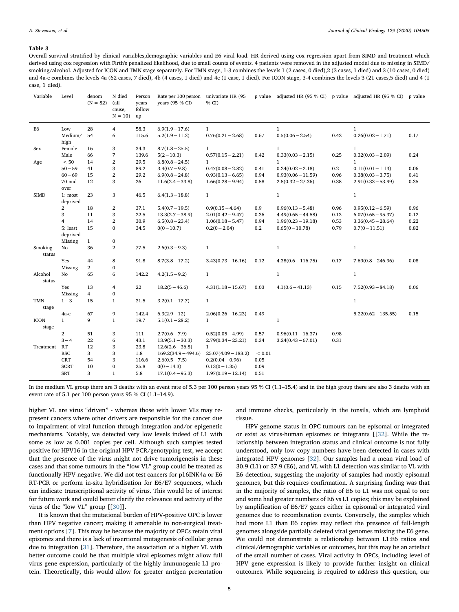#### <span id="page-4-0"></span>Table 3

Overall survival stratified by clinical variables,demographic variables and E6 viral load. HR derived using cox regression apart from SIMD and treatment which derived using cox regression with Firth's penalized likelihood, due to small counts of events. 4 patients were removed in the adjusted model due to missing in SIMD/ smoking/alcohol. Adjusted for ICON and TMN stage separately. For TMN stage, 1-3 combines the levels 1 (2 cases, 0 died),2 (3 cases, 1 died) and 3 (10 cases, 0 died) and 4a-c combines the levels 4a (62 cases, 7 died), 4b (4 cases, 1 died) and 4c (1 case, 1 died). For ICON stage, 3-4 combines the levels 3 (21 cases,5 died) and 4 (1 case, 1 died).

| Variable             | Level                   | denom<br>$(N = 82)$ | N died<br>(all<br>cause,<br>$N = 10$ | Person<br>years<br>follow<br>up | Rate per 100 person univariate HR (95<br>years (95 % CI) | % CI)                 |            | p value adjusted HR (95 % CI) p value adjusted HR (95 % CI) p value |      |                       |      |
|----------------------|-------------------------|---------------------|--------------------------------------|---------------------------------|----------------------------------------------------------|-----------------------|------------|---------------------------------------------------------------------|------|-----------------------|------|
| E <sub>6</sub>       | Low                     | 28                  | 4                                    | 58.3                            | $6.9(1.9 - 17.6)$                                        | $\mathbf{1}$          |            | $\mathbf{1}$                                                        |      | $\mathbf{1}$          |      |
|                      | Medium/<br>high         | 54                  | 6                                    | 115.6                           | $5.2(1.9 - 11.3)$                                        | $0.76(0.21 - 2.68)$   | 0.67       | $0.5(0.06 - 2.54)$                                                  | 0.42 | $0.26(0.02 - 1.71)$   | 0.17 |
| Sex                  | Female                  | 16                  | 3                                    | 34.3                            | $8.7(1.8 - 25.5)$                                        | $\mathbf{1}$          |            | $\mathbf{1}$                                                        |      | $\mathbf{1}$          |      |
|                      | Male                    | 66                  | 7                                    | 139.6                           | $5(2-10.3)$                                              | $0.57(0.15 - 2.21)$   | 0.42       | $0.33(0.03 - 2.15)$                                                 | 0.25 | $0.32(0.03 - 2.09)$   | 0.24 |
| Age                  | $< 50\,$                | 14                  | $\,2$                                | 29.5                            | $6.8(0.8 - 24.5)$                                        | $\mathbf{1}$          |            | $\mathbf{1}$                                                        |      | $\mathbf{1}$          |      |
|                      | $50 - 59$               | 41                  | 3                                    | 89.2                            | $3.4(0.7-9.8)$                                           | $0.47(0.08 - 2.82)$   | 0.41       | $0.24(0.02 - 2.18)$                                                 | 0.2  | $0.11(0.01 - 1.13)$   | 0.06 |
|                      | $60 - 69$               | 15                  | $\,2$                                | 29.2                            | $6.9(0.8 - 24.8)$                                        | $0.93(0.13 - 6.65)$   | 0.94       | $0.93(0.06 - 11.59)$                                                | 0.96 | $0.38(0.03 - 3.75)$   | 0.41 |
|                      | 70 and<br>over          | 12                  | 3                                    | 26                              | $11.6(2.4 - 33.8)$                                       | $1.66(0.28 - 9.94)$   | 0.58       | $2.5(0.32 - 27.36)$                                                 | 0.38 | $2.91(0.33 - 53.99)$  | 0.35 |
| <b>SIMD</b>          | 1: most<br>deprived     | 23                  | 3                                    | 46.5                            | $6.4(1.3 - 18.8)$                                        | $\mathbf{1}$          |            | $\mathbf{1}$                                                        |      | $\mathbf{1}$          |      |
|                      | $\overline{\mathbf{2}}$ | 18                  | $\,2$                                | 37.1                            | $5.4(0.7 - 19.5)$                                        | $0.9(0.15 - 4.64)$    | 0.9        | $0.96(0.13 - 5.48)$                                                 | 0.96 | $0.95(0.12-6.59)$     | 0.96 |
|                      | 3                       | 11                  | 3                                    | 22.5                            | $13.3(2.7 - 38.9)$                                       | $2.01(0.42 - 9.47)$   | 0.36       | $4.49(0.65 - 44.58)$                                                | 0.13 | $6.07(0.65 - 95.37)$  | 0.12 |
|                      | 4                       | 14                  | $\,2$                                | 30.9                            | $6.5(0.8 - 23.4)$                                        | $1.06(0.18 - 5.47)$   | 0.94       | $1.96(0.23 - 19.18)$                                                | 0.53 | $3.36(0.45 - 28.64)$  | 0.22 |
|                      | 5: least<br>deprived    | 15                  | $\bf{0}$                             | 34.5                            | $0(0-10.7)$                                              | $0.2(0-2.04)$         | 0.2        | $0.65(0-10.78)$                                                     | 0.79 | $0.7(0-11.51)$        | 0.82 |
|                      | Missing                 | $\mathbf{1}$        | $\bf{0}$                             |                                 |                                                          |                       |            |                                                                     |      |                       |      |
| Smoking<br>status    | No                      | 36                  | $\boldsymbol{2}$                     | 77.5                            | $2.6(0.3 - 9.3)$                                         | $\mathbf{1}$          |            | $\mathbf{1}$                                                        |      | $\mathbf{1}$          |      |
|                      | Yes                     | 44                  | 8                                    | 91.8                            | $8.7(3.8 - 17.2)$                                        | $3.43(0.73 - 16.16)$  | 0.12       | $4.38(0.6 - 116.75)$                                                | 0.17 | $7.69(0.8 - 246.96)$  | 0.08 |
|                      | Missing                 | $\overline{2}$      | 0                                    |                                 |                                                          |                       |            |                                                                     |      |                       |      |
| Alcohol<br>status    | No                      | 65                  | 6                                    | 142.2                           | $4.2(1.5-9.2)$                                           | $\mathbf{1}$          |            | $\mathbf{1}$                                                        |      | $\mathbf{1}$          |      |
|                      | Yes                     | 13                  | 4                                    | 22                              | $18.2(5 - 46.6)$                                         | $4.31(1.18 - 15.67)$  | 0.03       | $4.1(0.6 - 41.13)$                                                  | 0.15 | $7.52(0.93 - 84.18)$  | 0.06 |
|                      | Missing                 | $\overline{4}$      | $\bf{0}$                             |                                 |                                                          |                       |            |                                                                     |      |                       |      |
| <b>TMN</b><br>stage  | $1 - 3$                 | 15                  | $\mathbf{1}$                         | 31.5                            | $3.2(0.1 - 17.7)$                                        | $\mathbf{1}$          |            |                                                                     |      | $\mathbf{1}$          |      |
|                      | 4a-c                    | 67                  | 9                                    | 142.4                           | $6.3(2.9-12)$                                            | $2.06(0.26 - 16.23)$  | 0.49       |                                                                     |      | $5.22(0.62 - 135.55)$ | 0.15 |
| <b>ICON</b><br>stage | $\mathbf{1}$            | 9                   | $\mathbf{1}$                         | 19.7                            | $5.1(0.1 - 28.2)$                                        | $\mathbf{1}$          |            | $\mathbf{1}$                                                        |      |                       |      |
|                      | $\overline{\mathbf{2}}$ | 51                  | 3                                    | 111                             | $2.7(0.6 - 7.9)$                                         | $0.52(0.05 - 4.99)$   | 0.57       | $0.96(0.11 - 16.37)$                                                | 0.98 |                       |      |
|                      | $3 - 4$                 | 22                  | 6                                    | 43.1                            | $13.9(5.1 - 30.3)$                                       | $2.79(0.34 - 23.21)$  | 0.34       | $3.24(0.43 - 67.01)$                                                | 0.31 |                       |      |
| Treatment            | RT                      | 12                  | 3                                    | 23.8                            | $12.6(2.6 - 36.8)$                                       | $\mathbf{1}$          |            |                                                                     |      |                       |      |
|                      | <b>BSC</b>              | 3                   | 3                                    | 1.8                             | $169.2(34.9 - 494.6)$                                    | $25.07(4.09 - 188.2)$ | ${}< 0.01$ |                                                                     |      |                       |      |
|                      | <b>CRT</b>              | 54                  | 3                                    | 116.6                           | $2.6(0.5 - 7.5)$                                         | $0.2(0.04 - 0.96)$    | 0.05       |                                                                     |      |                       |      |
|                      | <b>SCRT</b>             | 10                  | $\bf{0}$                             | 25.8                            | $0(0-14.3)$                                              | $0.13(0-1.35)$        | 0.09       |                                                                     |      |                       |      |
|                      | <b>SRT</b>              | 3                   | $\mathbf{1}$                         | 5.8                             | $17.1(0.4 - 95.3)$                                       | $1.97(0.19 - 12.14)$  | 0.51       |                                                                     |      |                       |      |

In the medium VL group there are 3 deaths with an event rate of 5.3 per 100 person years 95 % CI (1.1–15.4) and in the high group there are also 3 deaths with an event rate of 5.1 per 100 person years 95 % CI (1.1–14.9).

higher VL are virus "driven" - whereas those with lower VLs may represent cancers where other drivers are responsible for the cancer due to impairment of viral function through integration and/or epigenetic mechanisms. Notably, we detected very low levels indeed of L1 with some as low as 0.001 copies per cell. Although such samples tested positive for HPV16 in the original HPV PCR/genotyping test, we accept that the presence of the virus might not drive tumorigenesis in these cases and that some tumours in the "low VL" group could be treated as functionally HPV-negative. We did not test cancers for p16INK4a or E6 RT-PCR or perform in-situ hybridisation for E6/E7 sequences, which can indicate transcriptional activity of virus. This would be of interest for future work and could better clarify the relevance and activity of the virus of the "low VL" group [[\[30](#page-8-19)]].

It is known that the mutational burden of HPV-positive OPC is lower than HPV negative cancer; making it amenable to non-surgical treatment options [[7](#page-7-6)]. This may be because the majority of OPCs retain viral episomes and there is a lack of insertional mutagenesis of cellular genes due to integration [[31\]](#page-8-20). Therefore, the association of a higher VL with better outcome could be that multiple viral episomes might allow full virus gene expression, particularly of the highly immunogenic L1 protein. Theoretically, this would allow for greater antigen presentation

and immune checks, particularly in the tonsils, which are lymphoid tissue.

HPV genome status in OPC tumours can be episomal or integrated or exist as virus-human episomes or integrants [[\[32](#page-8-21)]. While the relationship between integration status and clinical outcome is not fully understood, only low copy numbers have been detected in cases with integrated HPV genomes [[32\]](#page-8-21). Our samples had a mean viral load of 30.9 (L1) or 37.9 (E6), and VL with L1 detection was similar to VL with E6 detection, suggesting the majority of samples had mostly episomal genomes, but this requires confirmation. A surprising finding was that in the majority of samples, the ratio of E6 to L1 was not equal to one and some had greater numbers of E6 vs L1 copies; this may be explained by amplification of E6/E7 genes either in episomal or integrated viral genomes due to recombination events. Conversely, the samples which had more L1 than E6 copies may reflect the presence of full-length genomes alongside partially deleted viral genomes missing the E6 gene. We could not demonstrate a relationship between L1:E6 ratios and clinical/demographic variables or outcomes, but this may be an artefact of the small number of cases. Viral activity in OPCs, including level of HPV gene expression is likely to provide further insight on clinical outcomes. While sequencing is required to address this question, our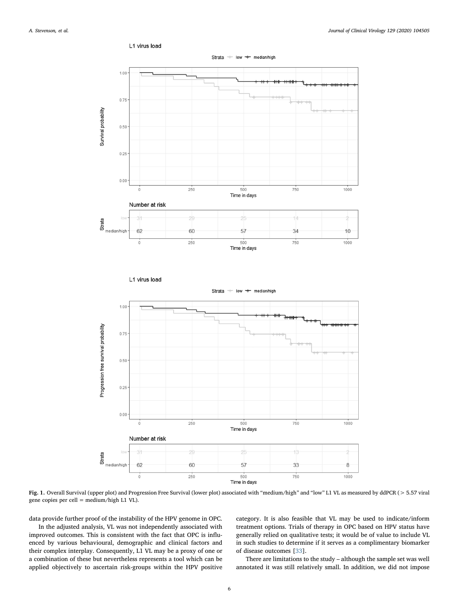<span id="page-5-0"></span>

Fig. 1. Overall Survival (upper plot) and Progression Free Survival (lower plot) associated with "medium/high" and "low" L1 VL as measured by ddPCR (> 5.57 viral gene copies per cell = medium/high L1 VL).

data provide further proof of the instability of the HPV genome in OPC.

In the adjusted analysis, VL was not independently associated with improved outcomes. This is consistent with the fact that OPC is influenced by various behavioural, demographic and clinical factors and their complex interplay. Consequently, L1 VL may be a proxy of one or a combination of these but nevertheless represents a tool which can be applied objectively to ascertain risk-groups within the HPV positive category. It is also feasible that VL may be used to indicate/inform treatment options. Trials of therapy in OPC based on HPV status have generally relied on qualitative tests; it would be of value to include VL in such studies to determine if it serves as a complimentary biomarker of disease outcomes [\[33](#page-8-22)].

There are limitations to the study – although the sample set was well annotated it was still relatively small. In addition, we did not impose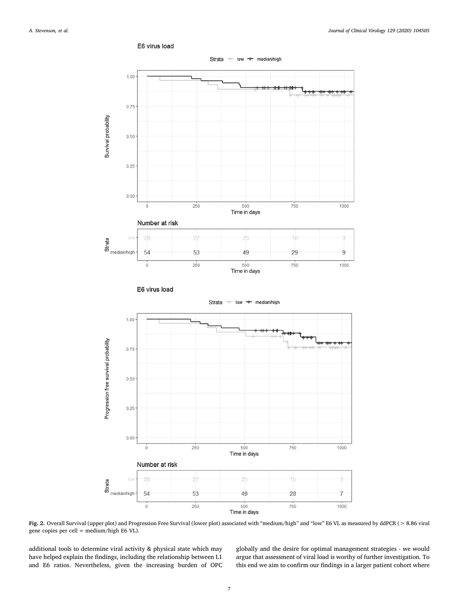<span id="page-6-0"></span>

E6 virus load



additional tools to determine viral activity & physical state which may have helped explain the findings, including the relationship between L1 and E6 ratios. Nevertheless, given the increasing burden of OPC globally and the desire for optimal management strategies - we would argue that assessment of viral load is worthy of further investigation. To this end we aim to confirm our findings in a larger patient cohort where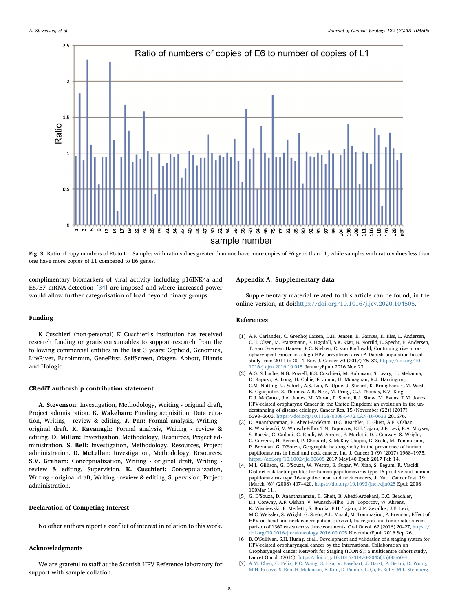<span id="page-7-7"></span>

Fig. 3. Ratio of copy numbers of E6 to L1. Samples with ratio values greater than one have more copies of E6 gene than L1, while samples with ratio values less than one have more copies of L1 compared to E6 genes.

complimentary biomarkers of viral activity including p16INK4a and E6/E7 mRNA detection [[34\]](#page-8-23) are imposed and where increased power would allow further categorisation of load beyond binary groups.

# Funding

K Cuschieri (non-personal) K Cuschieri's institution has received research funding or gratis consumables to support research from the following commercial entities in the last 3 years: Cepheid, Genomica, LifeRiver, Euroimmun, GeneFirst, SelfScreen, Qiagen, Abbott, Hiantis and Hologic.

#### CRediT authorship contribution statement

A. Stevenson: Investigation, Methodology, Writing - original draft, Project admnistration. K. Wakeham: Funding acquisition, Data curation, Writing - review & editing. J. Pan: Formal analysis, Writing original draft. K. Kavanagh: Formal analysis, Writing - review & editing. D. Millan: Investigation, Methodology, Resources, Project administration. S. Bell: Investigation, Methodology, Resources, Project administration. D. McLellan: Investigation, Methodology, Resources. S.V. Graham: Conceptualization, Writing - original draft, Writing review & editing, Supervision. K. Cuschieri: Conceptualization, Writing - original draft, Writing - review & editing, Supervision, Project administration.

## Declaration of Competing Interest

No other authors report a conflict of interest in relation to this work.

# Acknowledgments

We are grateful to staff at the Scottish HPV Reference laboratory for support with sample collation.

# Appendix A. Supplementary data

Supplementary material related to this article can be found, in the online version, at doi:[https://doi.org/10.1016/j.jcv.2020.104505.](https://doi.org/10.1016/j.jcv.2020.104505)

# References

- <span id="page-7-0"></span>[1] A.F. Carlander, C. Grønhøj Larsen, D.H. Jensen, E. Garnæs, K. Kiss, L. Andersen, C.H. Olsen, M. Franzmann, E. Høgdall, S.K. Kjær, B. Norrild, L. Specht, E. Andersen, T. van Overeem Hansen, F.C. Nielsen, C. von Buchwald, Continuing rise in oropharyngeal cancer in a high HPV prevalence area: A Danish population-based study from 2011 to 2014, Eur. J. Cancer 70 (2017) 75–82, [https://doi.org/10.](https://doi.org/10.1016/j.ejca.2016.10.015) [1016/j.ejca.2016.10.015](https://doi.org/10.1016/j.ejca.2016.10.015) JanuaryEpub 2016 Nov 23.
- <span id="page-7-1"></span>[2] A.G. Schache, N.G. Powell, K.S. Cuschieri, M. Robinson, S. Leary, H. Mehanna, D. Rapozo, A. Long, H. Cubie, E. Junor, H. Monaghan, K.J. Harrington, C.M. Nutting, U. Schick, A.S. Lau, N. Upile, J. Sheard, K. Brougham, C.M. West, K. Oguejiofor, S. Thomas, A.R. Ness, M. Pring, G.J. Thomas, E.V. King, D.J. McCance, J.A. James, M. Moran, P. Sloan, R.J. Shaw, M. Evans, T.M. Jones, HPV-related oropharynx Cancer in the United Kingdom: an evolution in the understanding of disease etiology, Cancer Res. 15 (November (22)) (2017) 6598–6606, <https://doi.org/10.1158/0008-5472.CAN-16-0633> 201676.
- <span id="page-7-2"></span>[3] D. Anantharaman, B. Abedi-Ardekani, D.C. Beachler, T. Gheit, A.F. Olshan, K. Wisniewski, V. Wunsch-Filho, T.N. Toporcov, E.H. Tajara, J.E. Levi, R.A. Moyses, S. Boccia, G. Cadoni, G. Rindi, W. Ahrens, F. Merletti, D.I. Conway, S. Wright, C. Carreira, H. Renard, P. Chopard, S. McKay-Chopin, G. Scelo, M. Tommasino, P. Brennan, G. D'Souza, Geographic heterogeneity in the prevalence of human papillomavirus in head and neck cancer, Int. J. Cancer 1 (9) (2017) 1968–1975, <https://doi.org/10.1002/ijc.30608> 2017 May140 Epub 2017 Feb 14.
- <span id="page-7-3"></span>[4] M.L. Gillison, G. D'Souza, W. Westra, E. Sugar, W. Xiao, S. Begum, R. Viscidi, Distinct risk factor profiles for human papillomavirus type 16-positive and human papillomavirus type 16-negative head and neck cancers, J. Natl. Cancer Inst. 19 (March (6)) (2008) 407–420, <https://doi.org/10.1093/jnci/djn025> Epub 2008 100Mar 11..
- <span id="page-7-4"></span>[5] G. D'Souza, D. Anantharaman, T. Gheit, B. Abedi-Ardekani, D.C. Beachler, D.I. Conway, A.F. Olshan, V. Wunsch-Filho, T.N. Toporcov, W. Ahrens, K. Wisniewski, F. Merletti, S. Boccia, E.H. Tajara, J.P. Zevallos, J.E. Levi, M.C. Weissler, S. Wright, G. Scelo, A.L. Mazul, M. Tommasino, P. Brennan, Effect of HPV on head and neck cancer patient survival, by region and tumor site: a comparison of 1362 cases across three continents, Oral Oncol. 62 (2016) 20–27, [https://](https://doi.org/10.1016/j.oraloncology.2016.09.005) [doi.org/10.1016/j.oraloncology.2016.09.005](https://doi.org/10.1016/j.oraloncology.2016.09.005) NovemberEpub 2016 Sep 26..
- <span id="page-7-5"></span>[6] B. O'Sullivan, S.H. Huang, et al., Development and validation of a staging system for HPV-related oropharyngeal cancer by the International Collaboration on Oropharyngeal cancer Network for Staging (ICON-S): a multicentre cohort study, Lancet Oncol. (2016), [https://doi.org/10.1016/S1470-2045\(15\)00560-4.](https://doi.org/10.1016/S1470-2045(15)00560-4)
- <span id="page-7-6"></span>[7] [A.M. Chen, C. Felix, P.C. Wang, S. Hsu, V. Basehart, J. Garst, P. Beron, D. Wong,](http://refhub.elsevier.com/S1386-6532(20)30247-X/sbref0035) [M.H. Rosove, S. Rao, H. Melanson, E. Kim, D. Palmer, L. Qi, K. Kelly, M.L. Steinberg,](http://refhub.elsevier.com/S1386-6532(20)30247-X/sbref0035)